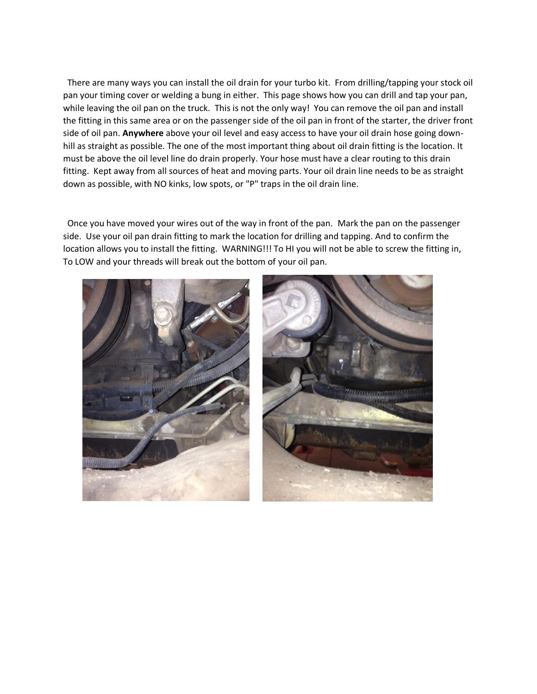There are many ways you can install the oil drain for your turbo kit. From drilling/tapping your stock oil pan your timing cover or welding a bung in either. This page shows how you can drill and tap your pan, while leaving the oil pan on the truck. This is not the only way! You can remove the oil pan and install the fitting in this same area or on the passenger side of the oil pan in front of the starter, the driver front side of oil pan. **Anywhere** above your oil level and easy access to have your oil drain hose going downhill as straight as possible. The one of the most important thing about oil drain fitting is the location. It must be above the oil level line do drain properly. Your hose must have a clear routing to this drain fitting. Kept away from all sources of heat and moving parts. Your oil drain line needs to be as straight down as possible, with NO kinks, low spots, or "P" traps in the oil drain line.

 Once you have moved your wires out of the way in front of the pan. Mark the pan on the passenger side. Use your oil pan drain fitting to mark the location for drilling and tapping. And to confirm the location allows you to install the fitting. WARNING!!! To HI you will not be able to screw the fitting in, To LOW and your threads will break out the bottom of your oil pan.

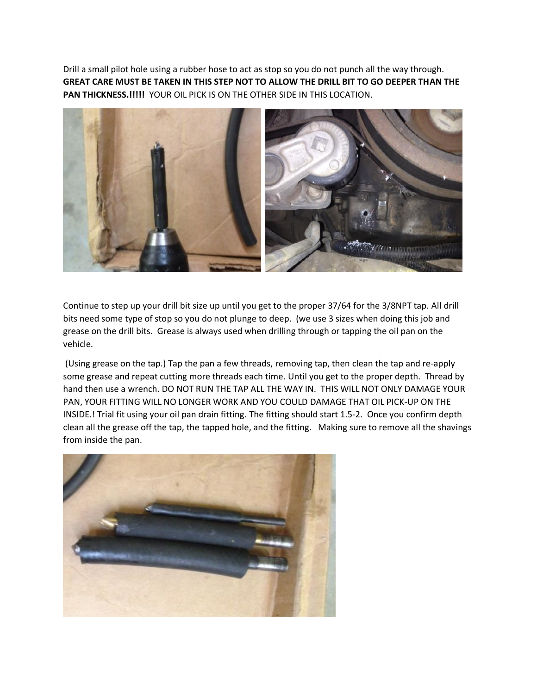Drill a small pilot hole using a rubber hose to act as stop so you do not punch all the way through. **GREAT CARE MUST BE TAKEN IN THIS STEP NOT TO ALLOW THE DRILL BIT TO GO DEEPER THAN THE PAN THICKNESS.!!!!!** YOUR OIL PICK IS ON THE OTHER SIDE IN THIS LOCATION.



Continue to step up your drill bit size up until you get to the proper 37/64 for the 3/8NPT tap. All drill bits need some type of stop so you do not plunge to deep. (we use 3 sizes when doing this job and grease on the drill bits. Grease is always used when drilling through or tapping the oil pan on the vehicle.

(Using grease on the tap.) Tap the pan a few threads, removing tap, then clean the tap and re-apply some grease and repeat cutting more threads each time. Until you get to the proper depth. Thread by hand then use a wrench. DO NOT RUN THE TAP ALL THE WAY IN. THIS WILL NOT ONLY DAMAGE YOUR PAN, YOUR FITTING WILL NO LONGER WORK AND YOU COULD DAMAGE THAT OIL PICK-UP ON THE INSIDE.! Trial fit using your oil pan drain fitting. The fitting should start 1.5-2. Once you confirm depth clean all the grease off the tap, the tapped hole, and the fitting. Making sure to remove all the shavings from inside the pan.